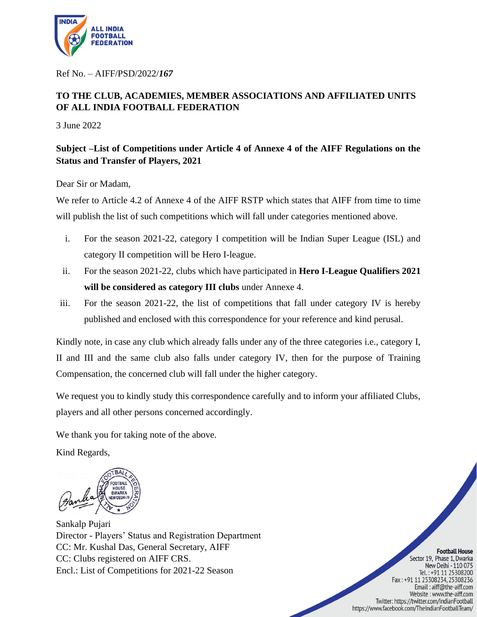

Ref No. – AIFF/PSD/2022/*167*

## **TO THE CLUB, ACADEMIES, MEMBER ASSOCIATIONS AND AFFILIATED UNITS OF ALL INDIA FOOTBALL FEDERATION**

3 June 2022

## **Subject –List of Competitions under Article 4 of Annexe 4 of the AIFF Regulations on the Status and Transfer of Players, 2021**

Dear Sir or Madam,

We refer to Article 4.2 of Annexe 4 of the AIFF RSTP which states that AIFF from time to time will publish the list of such competitions which will fall under categories mentioned above.

- i. For the season 2021-22, category I competition will be Indian Super League (ISL) and category II competition will be Hero I-league.
- ii. For the season 2021-22, clubs which have participated in **Hero I-League Qualifiers 2021 will be considered as category III clubs** under Annexe 4.
- iii. For the season 2021-22, the list of competitions that fall under category IV is hereby published and enclosed with this correspondence for your reference and kind perusal.

Kindly note, in case any club which already falls under any of the three categories i.e., category I, II and III and the same club also falls under category IV, then for the purpose of Training Compensation, the concerned club will fall under the higher category.

We request you to kindly study this correspondence carefully and to inform your affiliated Clubs, players and all other persons concerned accordingly.

We thank you for taking note of the above.

Kind Regards,



Sankalp Pujari Director - Players' Status and Registration Department CC: Mr. Kushal Das, General Secretary, AIFF CC: Clubs registered on AIFF CRS. Encl.: List of Competitions for 2021-22 Season

**Football House** Sector 19, Phase 1, Dwarka New Delhi - 110 075 Tel.: +91 11 25308200 Fax : +91 11 25308234, 25308236 Email: aiff@the-aiff.com Website: www.the-aiff.com Twitter: https://twitter.com/IndianFootball https://www.facebook.com/TheIndianFootballTeam/